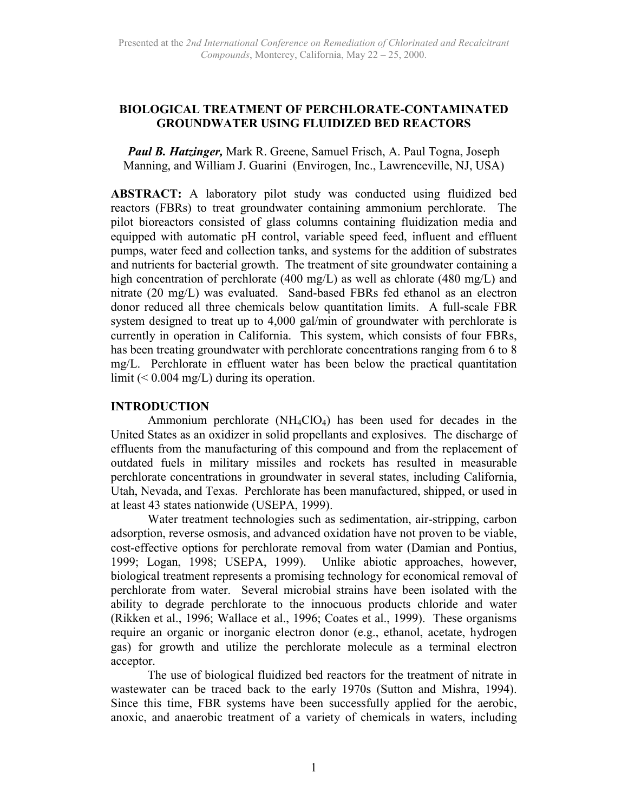# **BIOLOGICAL TREATMENT OF PERCHLORATE-CONTAMINATED GROUNDWATER USING FLUIDIZED BED REACTORS**

*Paul B. Hatzinger,* Mark R. Greene, Samuel Frisch, A. Paul Togna, Joseph Manning, and William J. Guarini (Envirogen, Inc., Lawrenceville, NJ, USA)

**ABSTRACT:** A laboratory pilot study was conducted using fluidized bed reactors (FBRs) to treat groundwater containing ammonium perchlorate. The pilot bioreactors consisted of glass columns containing fluidization media and equipped with automatic pH control, variable speed feed, influent and effluent pumps, water feed and collection tanks, and systems for the addition of substrates and nutrients for bacterial growth. The treatment of site groundwater containing a high concentration of perchlorate (400 mg/L) as well as chlorate (480 mg/L) and nitrate (20 mg/L) was evaluated. Sand-based FBRs fed ethanol as an electron donor reduced all three chemicals below quantitation limits. A full-scale FBR system designed to treat up to 4,000 gal/min of groundwater with perchlorate is currently in operation in California. This system, which consists of four FBRs, has been treating groundwater with perchlorate concentrations ranging from 6 to 8 mg/L. Perchlorate in effluent water has been below the practical quantitation limit  $(< 0.004$  mg/L) during its operation.

### **INTRODUCTION**

Ammonium perchlorate  $(NH_4ClO_4)$  has been used for decades in the United States as an oxidizer in solid propellants and explosives. The discharge of effluents from the manufacturing of this compound and from the replacement of outdated fuels in military missiles and rockets has resulted in measurable perchlorate concentrations in groundwater in several states, including California, Utah, Nevada, and Texas. Perchlorate has been manufactured, shipped, or used in at least 43 states nationwide (USEPA, 1999).

Water treatment technologies such as sedimentation, air-stripping, carbon adsorption, reverse osmosis, and advanced oxidation have not proven to be viable, cost-effective options for perchlorate removal from water (Damian and Pontius, 1999; Logan, 1998; USEPA, 1999). Unlike abiotic approaches, however, biological treatment represents a promising technology for economical removal of perchlorate from water. Several microbial strains have been isolated with the ability to degrade perchlorate to the innocuous products chloride and water (Rikken et al., 1996; Wallace et al., 1996; Coates et al., 1999). These organisms require an organic or inorganic electron donor (e.g., ethanol, acetate, hydrogen gas) for growth and utilize the perchlorate molecule as a terminal electron acceptor.

The use of biological fluidized bed reactors for the treatment of nitrate in wastewater can be traced back to the early 1970s (Sutton and Mishra, 1994). Since this time, FBR systems have been successfully applied for the aerobic, anoxic, and anaerobic treatment of a variety of chemicals in waters, including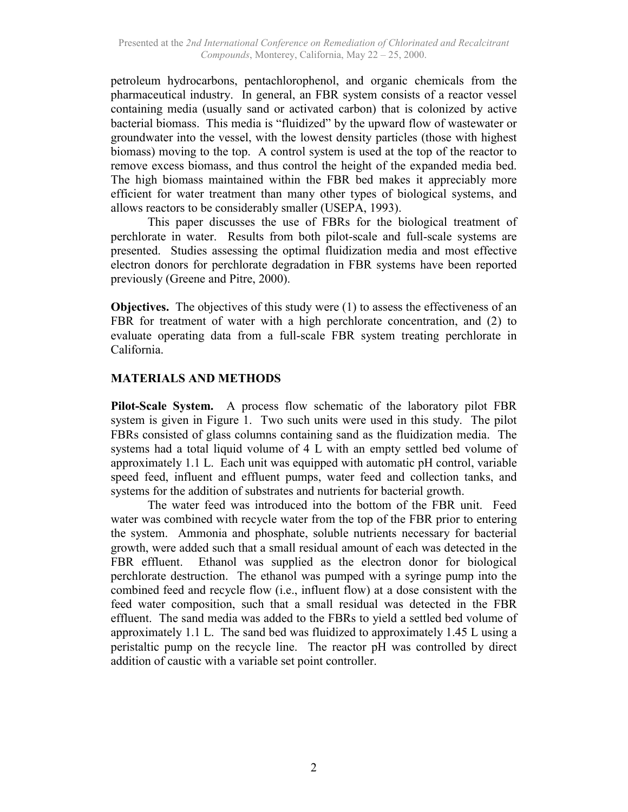petroleum hydrocarbons, pentachlorophenol, and organic chemicals from the pharmaceutical industry. In general, an FBR system consists of a reactor vessel containing media (usually sand or activated carbon) that is colonized by active bacterial biomass. This media is "fluidized" by the upward flow of wastewater or groundwater into the vessel, with the lowest density particles (those with highest biomass) moving to the top. A control system is used at the top of the reactor to remove excess biomass, and thus control the height of the expanded media bed. The high biomass maintained within the FBR bed makes it appreciably more efficient for water treatment than many other types of biological systems, and allows reactors to be considerably smaller (USEPA, 1993).

This paper discusses the use of FBRs for the biological treatment of perchlorate in water. Results from both pilot-scale and full-scale systems are presented. Studies assessing the optimal fluidization media and most effective electron donors for perchlorate degradation in FBR systems have been reported previously (Greene and Pitre, 2000).

**Objectives.** The objectives of this study were (1) to assess the effectiveness of an FBR for treatment of water with a high perchlorate concentration, and (2) to evaluate operating data from a full-scale FBR system treating perchlorate in California.

# **MATERIALS AND METHODS**

**Pilot-Scale System.** A process flow schematic of the laboratory pilot FBR system is given in Figure 1. Two such units were used in this study. The pilot FBRs consisted of glass columns containing sand as the fluidization media. The systems had a total liquid volume of 4 L with an empty settled bed volume of approximately 1.1 L. Each unit was equipped with automatic pH control, variable speed feed, influent and effluent pumps, water feed and collection tanks, and systems for the addition of substrates and nutrients for bacterial growth.

The water feed was introduced into the bottom of the FBR unit. Feed water was combined with recycle water from the top of the FBR prior to entering the system. Ammonia and phosphate, soluble nutrients necessary for bacterial growth, were added such that a small residual amount of each was detected in the FBR effluent. Ethanol was supplied as the electron donor for biological perchlorate destruction. The ethanol was pumped with a syringe pump into the combined feed and recycle flow (i.e., influent flow) at a dose consistent with the feed water composition, such that a small residual was detected in the FBR effluent. The sand media was added to the FBRs to yield a settled bed volume of approximately 1.1 L. The sand bed was fluidized to approximately 1.45 L using a peristaltic pump on the recycle line. The reactor pH was controlled by direct addition of caustic with a variable set point controller.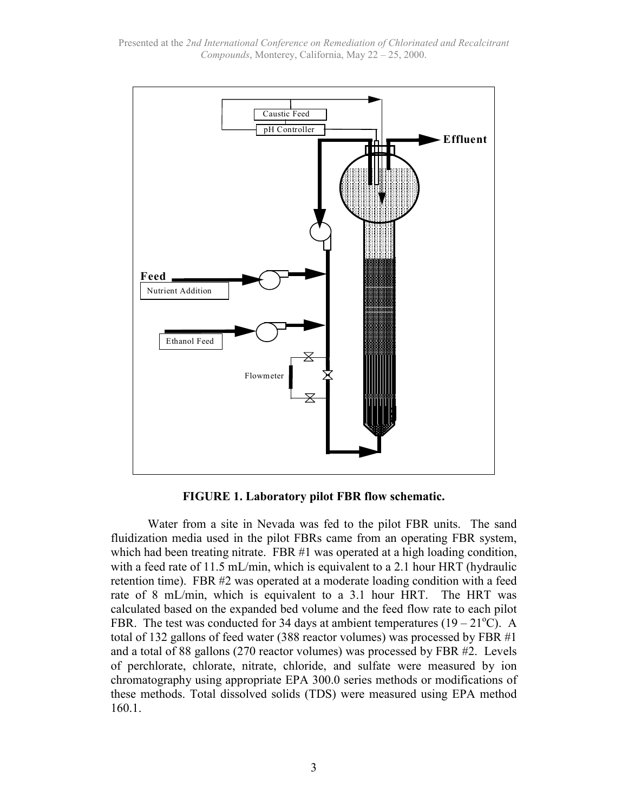Presented at the *2nd International Conference on Remediation of Chlorinated and Recalcitrant Compounds*, Monterey, California, May 22 – 25, 2000.



**FIGURE 1. Laboratory pilot FBR flow schematic.**

Water from a site in Nevada was fed to the pilot FBR units. The sand fluidization media used in the pilot FBRs came from an operating FBR system, which had been treating nitrate. FBR #1 was operated at a high loading condition, with a feed rate of 11.5 mL/min, which is equivalent to a 2.1 hour HRT (hydraulic retention time). FBR #2 was operated at a moderate loading condition with a feed rate of 8 mL/min, which is equivalent to a 3.1 hour HRT. The HRT was calculated based on the expanded bed volume and the feed flow rate to each pilot FBR. The test was conducted for 34 days at ambient temperatures  $(19 - 21^{\circ}C)$ . A total of 132 gallons of feed water (388 reactor volumes) was processed by FBR #1 and a total of 88 gallons (270 reactor volumes) was processed by FBR #2. Levels of perchlorate, chlorate, nitrate, chloride, and sulfate were measured by ion chromatography using appropriate EPA 300.0 series methods or modifications of these methods. Total dissolved solids (TDS) were measured using EPA method 160.1.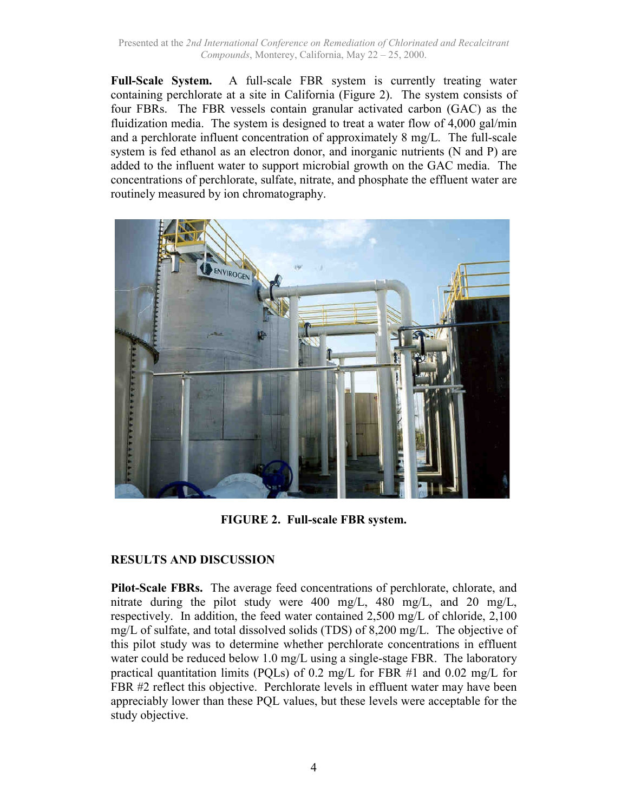Presented at the *2nd International Conference on Remediation of Chlorinated and Recalcitrant Compounds*, Monterey, California, May 22 – 25, 2000.

**Full-Scale System.** A full-scale FBR system is currently treating water containing perchlorate at a site in California (Figure 2). The system consists of four FBRs. The FBR vessels contain granular activated carbon (GAC) as the fluidization media. The system is designed to treat a water flow of 4,000 gal/min and a perchlorate influent concentration of approximately 8 mg/L. The full-scale system is fed ethanol as an electron donor, and inorganic nutrients (N and P) are added to the influent water to support microbial growth on the GAC media. The concentrations of perchlorate, sulfate, nitrate, and phosphate the effluent water are routinely measured by ion chromatography.



**FIGURE 2. Full-scale FBR system.**

### **RESULTS AND DISCUSSION**

**Pilot-Scale FBRs.** The average feed concentrations of perchlorate, chlorate, and nitrate during the pilot study were 400 mg/L, 480 mg/L, and 20 mg/L, respectively. In addition, the feed water contained 2,500 mg/L of chloride, 2,100 mg/L of sulfate, and total dissolved solids (TDS) of 8,200 mg/L. The objective of this pilot study was to determine whether perchlorate concentrations in effluent water could be reduced below 1.0 mg/L using a single-stage FBR. The laboratory practical quantitation limits (PQLs) of 0.2 mg/L for FBR #1 and 0.02 mg/L for FBR #2 reflect this objective. Perchlorate levels in effluent water may have been appreciably lower than these PQL values, but these levels were acceptable for the study objective.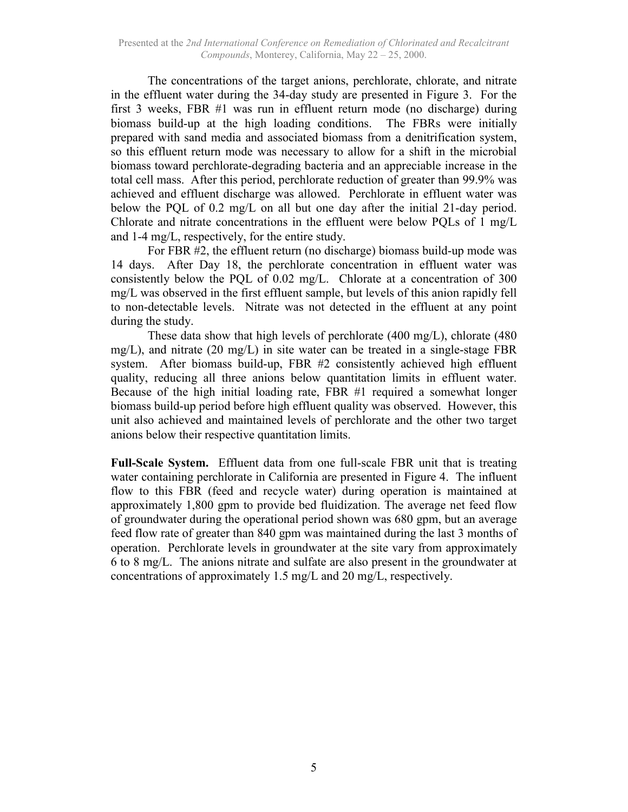The concentrations of the target anions, perchlorate, chlorate, and nitrate in the effluent water during the 34-day study are presented in Figure 3. For the first 3 weeks, FBR #1 was run in effluent return mode (no discharge) during biomass build-up at the high loading conditions. The FBRs were initially prepared with sand media and associated biomass from a denitrification system, so this effluent return mode was necessary to allow for a shift in the microbial biomass toward perchlorate-degrading bacteria and an appreciable increase in the total cell mass. After this period, perchlorate reduction of greater than 99.9% was achieved and effluent discharge was allowed. Perchlorate in effluent water was below the PQL of 0.2 mg/L on all but one day after the initial 21-day period. Chlorate and nitrate concentrations in the effluent were below PQLs of 1 mg/L and 1-4 mg/L, respectively, for the entire study.

For FBR #2, the effluent return (no discharge) biomass build-up mode was 14 days. After Day 18, the perchlorate concentration in effluent water was consistently below the PQL of 0.02 mg/L. Chlorate at a concentration of 300 mg/L was observed in the first effluent sample, but levels of this anion rapidly fell to non-detectable levels. Nitrate was not detected in the effluent at any point during the study.

These data show that high levels of perchlorate (400 mg/L), chlorate (480 mg/L), and nitrate (20 mg/L) in site water can be treated in a single-stage FBR system. After biomass build-up, FBR #2 consistently achieved high effluent quality, reducing all three anions below quantitation limits in effluent water. Because of the high initial loading rate, FBR #1 required a somewhat longer biomass build-up period before high effluent quality was observed. However, this unit also achieved and maintained levels of perchlorate and the other two target anions below their respective quantitation limits.

**Full-Scale System.** Effluent data from one full-scale FBR unit that is treating water containing perchlorate in California are presented in Figure 4. The influent flow to this FBR (feed and recycle water) during operation is maintained at approximately 1,800 gpm to provide bed fluidization. The average net feed flow of groundwater during the operational period shown was 680 gpm, but an average feed flow rate of greater than 840 gpm was maintained during the last 3 months of operation. Perchlorate levels in groundwater at the site vary from approximately 6 to 8 mg/L. The anions nitrate and sulfate are also present in the groundwater at concentrations of approximately 1.5 mg/L and 20 mg/L, respectively.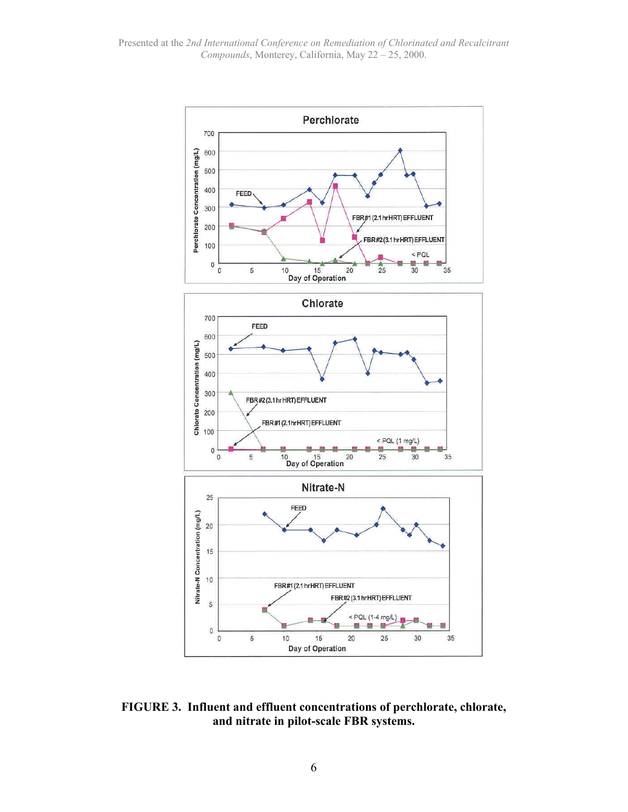

**FIGURE 3. Influent and effluent concentrations of perchlorate, chlorate, and nitrate in pilot-scale FBR systems.**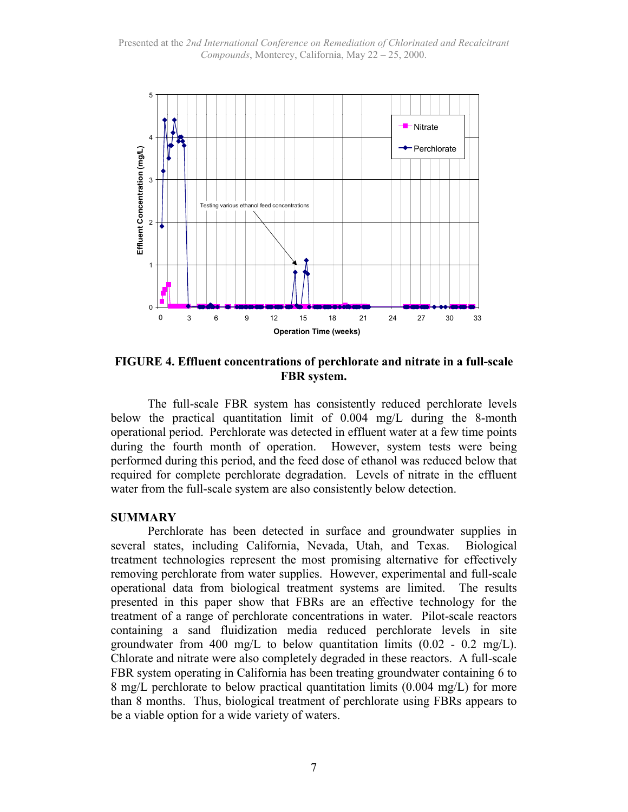Presented at the *2nd International Conference on Remediation of Chlorinated and Recalcitrant Compounds*, Monterey, California, May 22 – 25, 2000.



**FIGURE 4. Effluent concentrations of perchlorate and nitrate in a full-scale FBR system.**

The full-scale FBR system has consistently reduced perchlorate levels below the practical quantitation limit of 0.004 mg/L during the 8-month operational period. Perchlorate was detected in effluent water at a few time points during the fourth month of operation. However, system tests were being performed during this period, and the feed dose of ethanol was reduced below that required for complete perchlorate degradation. Levels of nitrate in the effluent water from the full-scale system are also consistently below detection.

#### **SUMMARY**

Perchlorate has been detected in surface and groundwater supplies in several states, including California, Nevada, Utah, and Texas. Biological treatment technologies represent the most promising alternative for effectively removing perchlorate from water supplies. However, experimental and full-scale operational data from biological treatment systems are limited. The results presented in this paper show that FBRs are an effective technology for the treatment of a range of perchlorate concentrations in water. Pilot-scale reactors containing a sand fluidization media reduced perchlorate levels in site groundwater from 400 mg/L to below quantitation limits  $(0.02 - 0.2 \text{ mg/L})$ . Chlorate and nitrate were also completely degraded in these reactors. A full-scale FBR system operating in California has been treating groundwater containing 6 to 8 mg/L perchlorate to below practical quantitation limits (0.004 mg/L) for more than 8 months. Thus, biological treatment of perchlorate using FBRs appears to be a viable option for a wide variety of waters.